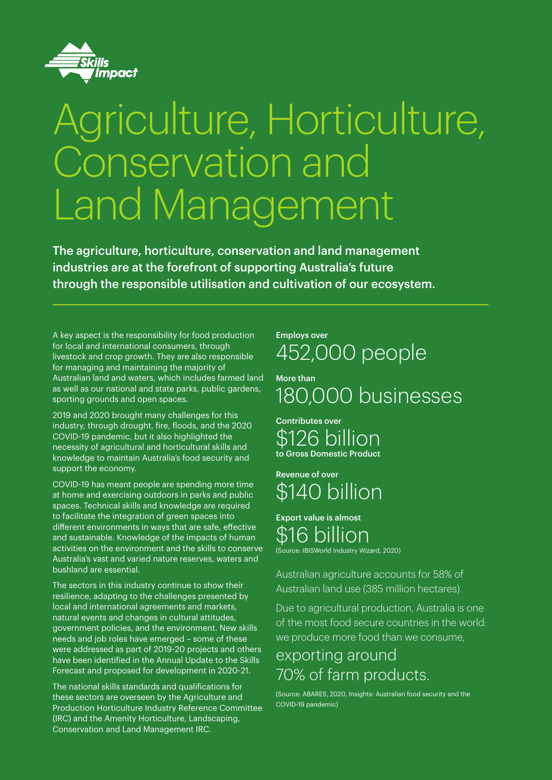

# Agriculture, Horticulture, Conservation and Land Management

The agriculture, horticulture, conservation and land management industries are at the forefront of supporting Australia's future through the responsible utilisation and cultivation of our ecosystem.

A key aspect is the responsibility for food production for local and international consumers, through livestock and crop growth. They are also responsible for managing and maintaining the majority of Australian land and waters, which includes farmed land as well as our national and state parks, public gardens, sporting grounds and open spaces.

2019 and 2020 brought many challenges for this industry, through drought, fire, floods, and the 2020 COVID-19 pandemic, but it also highlighted the necessity of agricultural and horticultural skills and knowledge to maintain Australia's food security and support the economy.

COVID-19 has meant people are spending more time at home and exercising outdoors in parks and public spaces. Technical skills and knowledge are required to facilitate the integration of green spaces into different environments in ways that are safe, effective and sustainable. Knowledge of the impacts of human activities on the environment and the skills to conserve Australia's vast and varied nature reserves, waters and bushland are essential.

The sectors in this industry continue to show their resilience, adapting to the challenges presented by local and international agreements and markets, natural events and changes in cultural attitudes, government policies, and the environment. New skills needs and job roles have emerged – some of these were addressed as part of 2019-20 projects and others have been identified in the Annual Update to the Skills Forecast and proposed for development in 2020-21.

The national skills standards and qualifications for these sectors are overseen by the Agriculture and Production Horticulture Industry Reference Committee (IRC) and the Amenity Horticulture, Landscaping, Conservation and Land Management IRC.

## Employs over 452,000 people

More than 180,000 businesses

Contributes over 126 billion to Gross Domestic Product

Revenue of over \$140 billion

## Export value is almost \$16 billion (Source: IBISWorld Industry Wizard, 2020)

Australian agriculture accounts for 58% of Australian land use (385 million hectares).

Due to agricultural production, Australia is one of the most food secure countries in the world: we produce more food than we consume,

## exporting around 70% of farm products.

(Source: ABARES, 2020, Insights: Australian food security and the COVID-19 pandemic)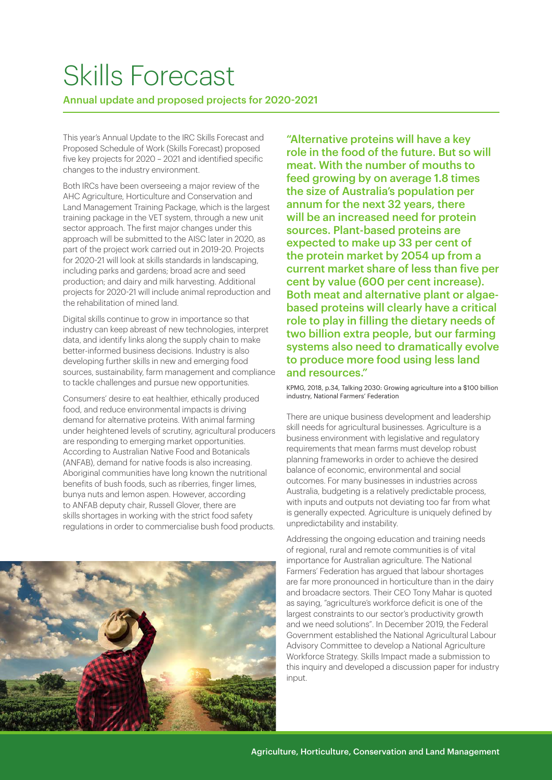## Skills Forecast

## Annual update and proposed projects for 2020-2021

This year's Annual Update to the IRC Skills Forecast and Proposed Schedule of Work (Skills Forecast) proposed five key projects for 2020 – 2021 and identified specific changes to the industry environment.

Both IRCs have been overseeing a major review of the AHC Agriculture, Horticulture and Conservation and Land Management Training Package, which is the largest training package in the VET system, through a new unit sector approach. The first major changes under this approach will be submitted to the AISC later in 2020, as part of the project work carried out in 2019-20. Projects for 2020-21 will look at skills standards in landscaping, including parks and gardens; broad acre and seed production; and dairy and milk harvesting. Additional projects for 2020-21 will include animal reproduction and the rehabilitation of mined land.

Digital skills continue to grow in importance so that industry can keep abreast of new technologies, interpret data, and identify links along the supply chain to make better-informed business decisions. Industry is also developing further skills in new and emerging food sources, sustainability, farm management and compliance to tackle challenges and pursue new opportunities.

Consumers' desire to eat healthier, ethically produced food, and reduce environmental impacts is driving demand for alternative proteins. With animal farming under heightened levels of scrutiny, agricultural producers are responding to emerging market opportunities. According to Australian Native Food and Botanicals (ANFAB), demand for native foods is also increasing. Aboriginal communities have long known the nutritional benefits of bush foods, such as riberries, finger limes, bunya nuts and lemon aspen. However, according to ANFAB deputy chair, Russell Glover, there are skills shortages in working with the strict food safety regulations in order to commercialise bush food products.



"Alternative proteins will have a key role in the food of the future. But so will meat. With the number of mouths to feed growing by on average 1.8 times the size of Australia's population per annum for the next 32 years, there will be an increased need for protein sources. Plant-based proteins are expected to make up 33 per cent of the protein market by 2054 up from a current market share of less than five per cent by value (600 per cent increase). Both meat and alternative plant or algaebased proteins will clearly have a critical role to play in filling the dietary needs of two billion extra people, but our farming systems also need to dramatically evolve to produce more food using less land and resources."

KPMG, 2018, p.34, Talking 2030: Growing agriculture into a \$100 billion industry, National Farmers' Federation

There are unique business development and leadership skill needs for agricultural businesses. Agriculture is a business environment with legislative and regulatory requirements that mean farms must develop robust planning frameworks in order to achieve the desired balance of economic, environmental and social outcomes. For many businesses in industries across Australia, budgeting is a relatively predictable process, with inputs and outputs not deviating too far from what is generally expected. Agriculture is uniquely defined by unpredictability and instability.

Addressing the ongoing education and training needs of regional, rural and remote communities is of vital importance for Australian agriculture. The National Farmers' Federation has argued that labour shortages are far more pronounced in horticulture than in the dairy and broadacre sectors. Their CEO Tony Mahar is quoted as saying, "agriculture's workforce deficit is one of the largest constraints to our sector's productivity growth and we need solutions". In December 2019, the Federal Government established the National Agricultural Labour Advisory Committee to develop a National Agriculture Workforce Strategy. Skills Impact made a submission to this inquiry and developed a discussion paper for industry input.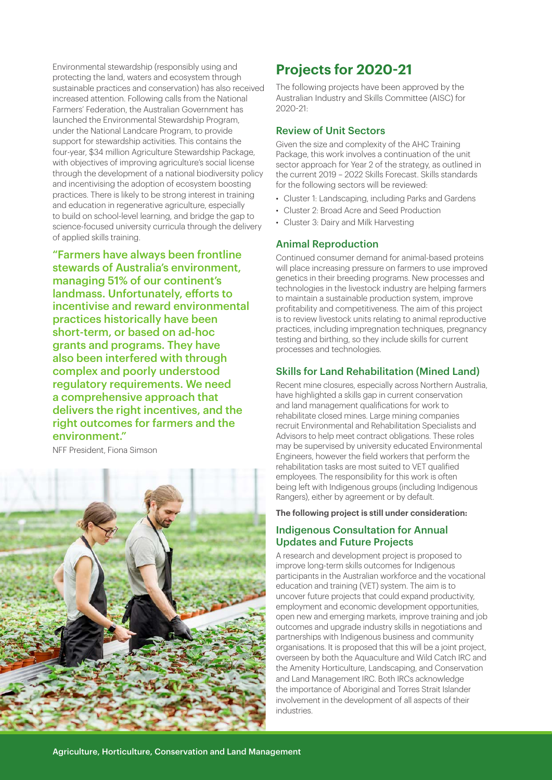Environmental stewardship (responsibly using and protecting the land, waters and ecosystem through sustainable practices and conservation) has also received increased attention. Following calls from the National Farmers' Federation, the Australian Government has launched the Environmental Stewardship Program, under the National Landcare Program, to provide support for stewardship activities. This contains the four-year, \$34 million Agriculture Stewardship Package, with objectives of improving agriculture's social license through the development of a national biodiversity policy and incentivising the adoption of ecosystem boosting practices. There is likely to be strong interest in training and education in regenerative agriculture, especially to build on school-level learning, and bridge the gap to science-focused university curricula through the delivery of applied skills training.

"Farmers have always been frontline stewards of Australia's environment, managing 51% of our continent's landmass. Unfortunately, efforts to incentivise and reward environmental practices historically have been short-term, or based on ad-hoc grants and programs. They have also been interfered with through complex and poorly understood regulatory requirements. We need a comprehensive approach that delivers the right incentives, and the right outcomes for farmers and the environment."

NFF President, Fiona Simson



## **Projects for 2020-21**

The following projects have been approved by the Australian Industry and Skills Committee (AISC) for 2020-21:

## Review of Unit Sectors

Given the size and complexity of the AHC Training Package, this work involves a continuation of the unit sector approach for Year 2 of the strategy, as outlined in the current 2019 – 2022 Skills Forecast. Skills standards for the following sectors will be reviewed:

- Cluster 1: Landscaping, including Parks and Gardens
- Cluster 2: Broad Acre and Seed Production
- Cluster 3: Dairy and Milk Harvesting

#### Animal Reproduction

Continued consumer demand for animal-based proteins will place increasing pressure on farmers to use improved genetics in their breeding programs. New processes and technologies in the livestock industry are helping farmers to maintain a sustainable production system, improve profitability and competitiveness. The aim of this project is to review livestock units relating to animal reproductive practices, including impregnation techniques, pregnancy testing and birthing, so they include skills for current processes and technologies.

### Skills for Land Rehabilitation (Mined Land)

Recent mine closures, especially across Northern Australia, have highlighted a skills gap in current conservation and land management qualifications for work to rehabilitate closed mines. Large mining companies recruit Environmental and Rehabilitation Specialists and Advisors to help meet contract obligations. These roles may be supervised by university educated Environmental Engineers, however the field workers that perform the rehabilitation tasks are most suited to VET qualified employees. The responsibility for this work is often being left with Indigenous groups (including Indigenous Rangers), either by agreement or by default.

## **The following project is still under consideration:**

### Indigenous Consultation for Annual Updates and Future Projects

A research and development project is proposed to improve long-term skills outcomes for Indigenous participants in the Australian workforce and the vocational education and training (VET) system. The aim is to uncover future projects that could expand productivity, employment and economic development opportunities, open new and emerging markets, improve training and job outcomes and upgrade industry skills in negotiations and partnerships with Indigenous business and community organisations. It is proposed that this will be a joint project, overseen by both the Aquaculture and Wild Catch IRC and the Amenity Horticulture, Landscaping, and Conservation and Land Management IRC. Both IRCs acknowledge the importance of Aboriginal and Torres Strait Islander involvement in the development of all aspects of their industries.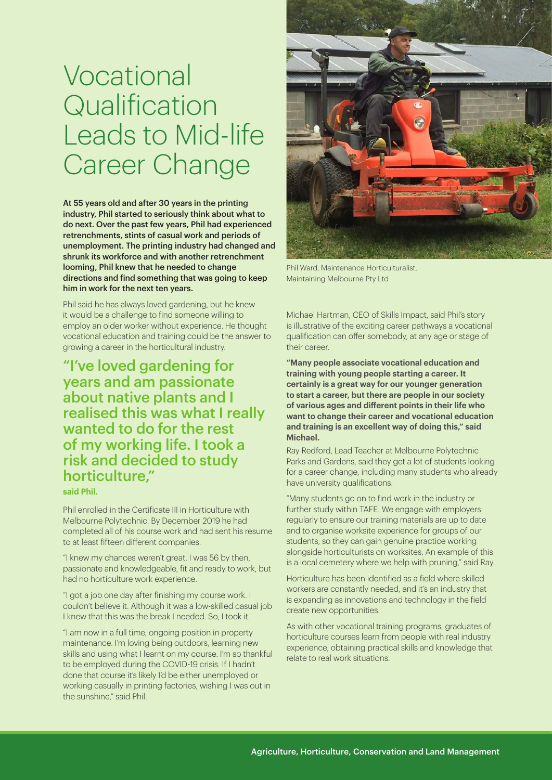## Vocational **Qualification** Leads to Mid-life Career Change

At 55 years old and after 30 years in the printing industry, Phil started to seriously think about what to do next. Over the past few years, Phil had experienced retrenchments, stints of casual work and periods of unemployment. The printing industry had changed and shrunk its workforce and with another retrenchment looming, Phil knew that he needed to change directions and find something that was going to keep him in work for the next ten years.

Phil said he has always loved gardening, but he knew it would be a challenge to find someone willing to employ an older worker without experience. He thought vocational education and training could be the answer to growing a career in the horticultural industry.

"I've loved gardening for years and am passionate about native plants and I realised this was what I really wanted to do for the rest of my working life. I took a risk and decided to study horticulture,"

**said Phil.**

Phil enrolled in the Certificate III in Horticulture with Melbourne Polytechnic. By December 2019 he had completed all of his course work and had sent his resume to at least fifteen different companies.

"I knew my chances weren't great. I was 56 by then, passionate and knowledgeable, fit and ready to work, but had no horticulture work experience.

"I got a job one day after finishing my course work. I couldn't believe it. Although it was a low-skilled casual job I knew that this was the break I needed. So, I took it.

"I am now in a full time, ongoing position in property maintenance. I'm loving being outdoors, learning new skills and using what I learnt on my course. I'm so thankful to be employed during the COVID-19 crisis. If I hadn't done that course it's likely I'd be either unemployed or working casually in printing factories, wishing I was out in the sunshine," said Phil.



Phil Ward, Maintenance Horticulturalist, Maintaining Melbourne Pty Ltd

Michael Hartman, CEO of Skills Impact, said Phil's story is illustrative of the exciting career pathways a vocational qualification can offer somebody, at any age or stage of their career.

**"Many people associate vocational education and training with young people starting a career. It certainly is a great way for our younger generation to start a career, but there are people in our society of various ages and different points in their life who want to change their career and vocational education and training is an excellent way of doing this," said Michael.**

Ray Redford, Lead Teacher at Melbourne Polytechnic Parks and Gardens, said they get a lot of students looking for a career change, including many students who already have university qualifications.

"Many students go on to find work in the industry or further study within TAFE. We engage with employers regularly to ensure our training materials are up to date and to organise worksite experience for groups of our students, so they can gain genuine practice working alongside horticulturists on worksites. An example of this is a local cemetery where we help with pruning," said Ray.

Horticulture has been identified as a field where skilled workers are constantly needed, and it's an industry that is expanding as innovations and technology in the field create new opportunities.

As with other vocational training programs, graduates of horticulture courses learn from people with real industry experience, obtaining practical skills and knowledge that relate to real work situations.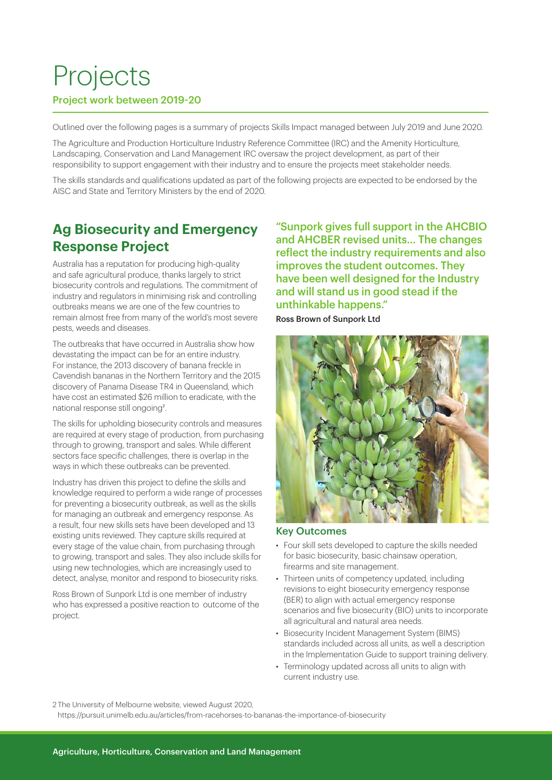## Projects

## Project work between 2019-20

Outlined over the following pages is a summary of projects Skills Impact managed between July 2019 and June 2020.

The Agriculture and Production Horticulture Industry Reference Committee (IRC) and the Amenity Horticulture, Landscaping, Conservation and Land Management IRC oversaw the project development, as part of their responsibility to support engagement with their industry and to ensure the projects meet stakeholder needs.

The skills standards and qualifications updated as part of the following projects are expected to be endorsed by the AISC and State and Territory Ministers by the end of 2020.

## **Ag Biosecurity and Emergency Response Project**

Australia has a reputation for producing high-quality and safe agricultural produce, thanks largely to strict biosecurity controls and regulations. The commitment of industry and regulators in minimising risk and controlling outbreaks means we are one of the few countries to remain almost free from many of the world's most severe pests, weeds and diseases.

The outbreaks that have occurred in Australia show how devastating the impact can be for an entire industry. For instance, the 2013 discovery of banana freckle in Cavendish bananas in the Northern Territory and the 2015 discovery of Panama Disease TR4 in Queensland, which have cost an estimated \$26 million to eradicate, with the national response still ongoing<sup>2</sup>.

The skills for upholding biosecurity controls and measures are required at every stage of production, from purchasing through to growing, transport and sales. While different sectors face specific challenges, there is overlap in the ways in which these outbreaks can be prevented.

Industry has driven this project to define the skills and knowledge required to perform a wide range of processes for preventing a biosecurity outbreak, as well as the skills for managing an outbreak and emergency response. As a result, four new skills sets have been developed and 13 existing units reviewed. They capture skills required at every stage of the value chain, from purchasing through to growing, transport and sales. They also include skills for using new technologies, which are increasingly used to detect, analyse, monitor and respond to biosecurity risks.

Ross Brown of Sunpork Ltd is one member of industry who has expressed a positive reaction to outcome of the project.

"Sunpork gives full support in the AHCBIO and AHCBER revised units… The changes reflect the industry requirements and also improves the student outcomes. They have been well designed for the Industry and will stand us in good stead if the unthinkable happens." Ross Brown of Sunpork Ltd

![](_page_4_Picture_12.jpeg)

#### Key Outcomes

- Four skill sets developed to capture the skills needed for basic biosecurity, basic chainsaw operation, firearms and site management.
- Thirteen units of competency updated, including revisions to eight biosecurity emergency response (BER) to align with actual emergency response scenarios and five biosecurity (BIO) units to incorporate all agricultural and natural area needs.
- Biosecurity Incident Management System (BIMS) standards included across all units, as well a description in the Implementation Guide to support training delivery.
- Terminology updated across all units to align with current industry use.

2 The University of Melbourne website, viewed August 2020,

https://pursuit.unimelb.edu.au/articles/from-racehorses-to-bananas-the-importance-of-biosecurity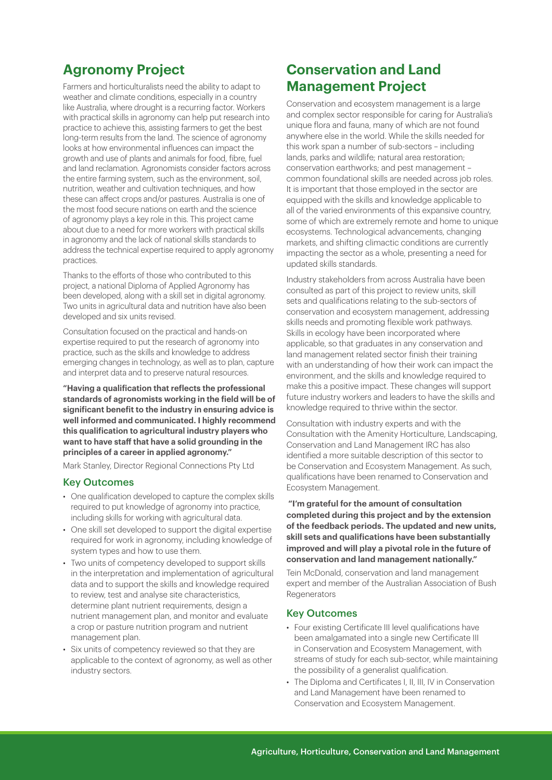## **Agronomy Project**

Farmers and horticulturalists need the ability to adapt to weather and climate conditions, especially in a country like Australia, where drought is a recurring factor. Workers with practical skills in agronomy can help put research into practice to achieve this, assisting farmers to get the best long-term results from the land. The science of agronomy looks at how environmental influences can impact the growth and use of plants and animals for food, fibre, fuel and land reclamation. Agronomists consider factors across the entire farming system, such as the environment, soil, nutrition, weather and cultivation techniques, and how these can affect crops and/or pastures. Australia is one of the most food secure nations on earth and the science of agronomy plays a key role in this. This project came about due to a need for more workers with practical skills in agronomy and the lack of national skills standards to address the technical expertise required to apply agronomy practices.

Thanks to the efforts of those who contributed to this project, a national Diploma of Applied Agronomy has been developed, along with a skill set in digital agronomy. Two units in agricultural data and nutrition have also been developed and six units revised.

Consultation focused on the practical and hands-on expertise required to put the research of agronomy into practice, such as the skills and knowledge to address emerging changes in technology, as well as to plan, capture and interpret data and to preserve natural resources.

**"Having a qualification that reflects the professional standards of agronomists working in the field will be of significant benefit to the industry in ensuring advice is well informed and communicated. I highly recommend this qualification to agricultural industry players who want to have staff that have a solid grounding in the principles of a career in applied agronomy."** 

Mark Stanley, Director Regional Connections Pty Ltd

#### Key Outcomes

- One qualification developed to capture the complex skills required to put knowledge of agronomy into practice, including skills for working with agricultural data.
- One skill set developed to support the digital expertise required for work in agronomy, including knowledge of system types and how to use them.
- Two units of competency developed to support skills in the interpretation and implementation of agricultural data and to support the skills and knowledge required to review, test and analyse site characteristics, determine plant nutrient requirements, design a nutrient management plan, and monitor and evaluate a crop or pasture nutrition program and nutrient management plan.
- Six units of competency reviewed so that they are applicable to the context of agronomy, as well as other industry sectors.

## **Conservation and Land Management Project**

Conservation and ecosystem management is a large and complex sector responsible for caring for Australia's unique flora and fauna, many of which are not found anywhere else in the world. While the skills needed for this work span a number of sub-sectors – including lands, parks and wildlife; natural area restoration; conservation earthworks; and pest management – common foundational skills are needed across job roles. It is important that those employed in the sector are equipped with the skills and knowledge applicable to all of the varied environments of this expansive country, some of which are extremely remote and home to unique ecosystems. Technological advancements, changing markets, and shifting climactic conditions are currently impacting the sector as a whole, presenting a need for updated skills standards.

Industry stakeholders from across Australia have been consulted as part of this project to review units, skill sets and qualifications relating to the sub-sectors of conservation and ecosystem management, addressing skills needs and promoting flexible work pathways. Skills in ecology have been incorporated where applicable, so that graduates in any conservation and land management related sector finish their training with an understanding of how their work can impact the environment, and the skills and knowledge required to make this a positive impact. These changes will support future industry workers and leaders to have the skills and knowledge required to thrive within the sector.

Consultation with industry experts and with the Consultation with the Amenity Horticulture, Landscaping, Conservation and Land Management IRC has also identified a more suitable description of this sector to be Conservation and Ecosystem Management. As such, qualifications have been renamed to Conservation and Ecosystem Management.

 **"I'm grateful for the amount of consultation completed during this project and by the extension of the feedback periods. The updated and new units, skill sets and qualifications have been substantially improved and will play a pivotal role in the future of conservation and land management nationally."** 

Tein McDonald, conservation and land management expert and member of the Australian Association of Bush **Regenerators** 

#### Key Outcomes

- Four existing Certificate III level qualifications have been amalgamated into a single new Certificate III in Conservation and Ecosystem Management, with streams of study for each sub-sector, while maintaining the possibility of a generalist qualification.
- The Diploma and Certificates I, II, III, IV in Conservation and Land Management have been renamed to Conservation and Ecosystem Management.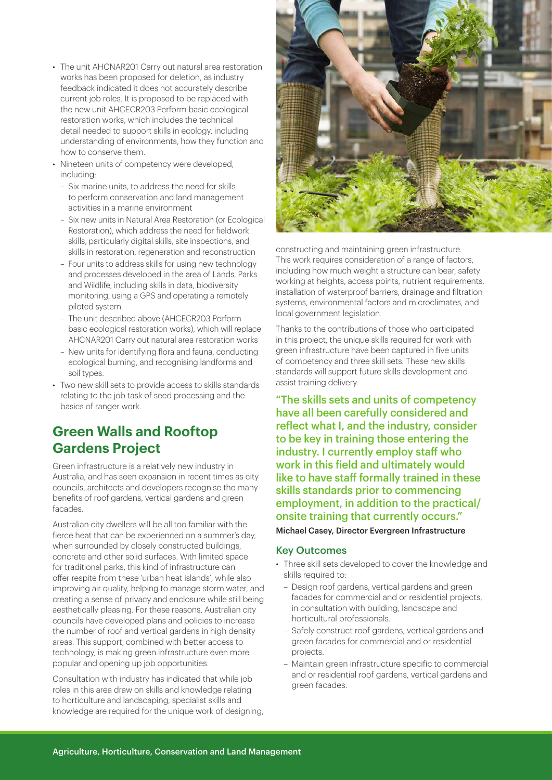- The unit AHCNAR201 Carry out natural area restoration works has been proposed for deletion, as industry feedback indicated it does not accurately describe current job roles. It is proposed to be replaced with the new unit AHCECR203 Perform basic ecological restoration works, which includes the technical detail needed to support skills in ecology, including understanding of environments, how they function and how to conserve them.
- Nineteen units of competency were developed, including:
	- Six marine units, to address the need for skills to perform conservation and land management activities in a marine environment
	- Six new units in Natural Area Restoration (or Ecological Restoration), which address the need for fieldwork skills, particularly digital skills, site inspections, and skills in restoration, regeneration and reconstruction
	- Four units to address skills for using new technology and processes developed in the area of Lands, Parks and Wildlife, including skills in data, biodiversity monitoring, using a GPS and operating a remotely piloted system
	- The unit described above (AHCECR203 Perform basic ecological restoration works), which will replace AHCNAR201 Carry out natural area restoration works
	- New units for identifying flora and fauna, conducting ecological burning, and recognising landforms and soil types.
- Two new skill sets to provide access to skills standards relating to the job task of seed processing and the basics of ranger work.

## **Green Walls and Rooftop Gardens Project**

Green infrastructure is a relatively new industry in Australia, and has seen expansion in recent times as city councils, architects and developers recognise the many benefits of roof gardens, vertical gardens and green facades.

Australian city dwellers will be all too familiar with the fierce heat that can be experienced on a summer's day, when surrounded by closely constructed buildings, concrete and other solid surfaces. With limited space for traditional parks, this kind of infrastructure can offer respite from these 'urban heat islands', while also improving air quality, helping to manage storm water, and creating a sense of privacy and enclosure while still being aesthetically pleasing. For these reasons, Australian city councils have developed plans and policies to increase the number of roof and vertical gardens in high density areas. This support, combined with better access to technology, is making green infrastructure even more popular and opening up job opportunities.

Consultation with industry has indicated that while job roles in this area draw on skills and knowledge relating to horticulture and landscaping, specialist skills and knowledge are required for the unique work of designing,

![](_page_6_Picture_12.jpeg)

constructing and maintaining green infrastructure. This work requires consideration of a range of factors, including how much weight a structure can bear, safety working at heights, access points, nutrient requirements, installation of waterproof barriers, drainage and filtration systems, environmental factors and microclimates, and local government legislation.

Thanks to the contributions of those who participated in this project, the unique skills required for work with green infrastructure have been captured in five units of competency and three skill sets. These new skills standards will support future skills development and assist training delivery.

"The skills sets and units of competency have all been carefully considered and reflect what I, and the industry, consider to be key in training those entering the industry. I currently employ staff who work in this field and ultimately would like to have staff formally trained in these skills standards prior to commencing employment, in addition to the practical/ onsite training that currently occurs." Michael Casey, Director Evergreen Infrastructure

## Key Outcomes

- Three skill sets developed to cover the knowledge and skills required to:
	- Design roof gardens, vertical gardens and green facades for commercial and or residential projects, in consultation with building, landscape and horticultural professionals.
	- Safely construct roof gardens, vertical gardens and green facades for commercial and or residential projects.
	- Maintain green infrastructure specific to commercial and or residential roof gardens, vertical gardens and green facades.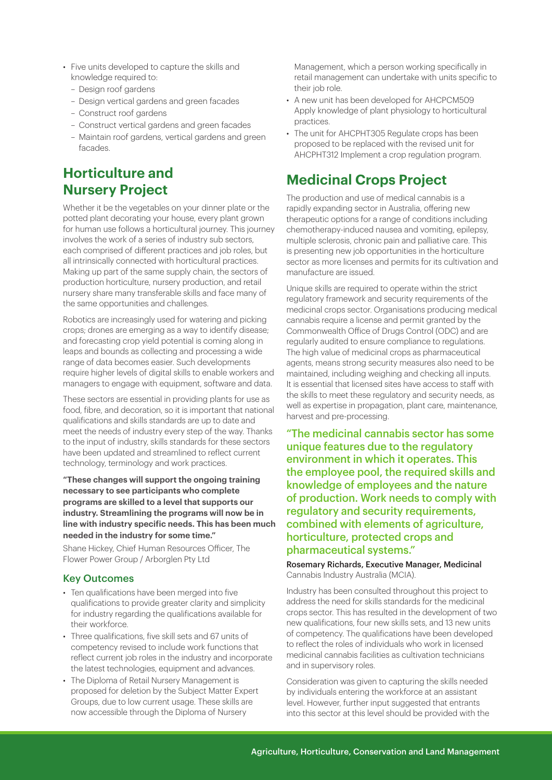- Five units developed to capture the skills and knowledge required to:
	- Design roof gardens
	- Design vertical gardens and green facades
	- Construct roof gardens
	- Construct vertical gardens and green facades
	- Maintain roof gardens, vertical gardens and green facades.

## **Horticulture and Nursery Project**

Whether it be the vegetables on your dinner plate or the potted plant decorating your house, every plant grown for human use follows a horticultural journey. This journey involves the work of a series of industry sub sectors, each comprised of different practices and job roles, but all intrinsically connected with horticultural practices. Making up part of the same supply chain, the sectors of production horticulture, nursery production, and retail nursery share many transferable skills and face many of the same opportunities and challenges.

Robotics are increasingly used for watering and picking crops; drones are emerging as a way to identify disease; and forecasting crop yield potential is coming along in leaps and bounds as collecting and processing a wide range of data becomes easier. Such developments require higher levels of digital skills to enable workers and managers to engage with equipment, software and data.

These sectors are essential in providing plants for use as food, fibre, and decoration, so it is important that national qualifications and skills standards are up to date and meet the needs of industry every step of the way. Thanks to the input of industry, skills standards for these sectors have been updated and streamlined to reflect current technology, terminology and work practices.

**"These changes will support the ongoing training necessary to see participants who complete programs are skilled to a level that supports our industry. Streamlining the programs will now be in line with industry specific needs. This has been much needed in the industry for some time."** 

Shane Hickey, Chief Human Resources Officer, The Flower Power Group / Arborglen Pty Ltd

## Key Outcomes

- Ten qualifications have been merged into five qualifications to provide greater clarity and simplicity for industry regarding the qualifications available for their workforce.
- Three qualifications, five skill sets and 67 units of competency revised to include work functions that reflect current job roles in the industry and incorporate the latest technologies, equipment and advances.
- The Diploma of Retail Nursery Management is proposed for deletion by the Subject Matter Expert Groups, due to low current usage. These skills are now accessible through the Diploma of Nursery

Management, which a person working specifically in retail management can undertake with units specific to their job role.

- A new unit has been developed for AHCPCM509 Apply knowledge of plant physiology to horticultural practices.
- The unit for AHCPHT305 Regulate crops has been proposed to be replaced with the revised unit for AHCPHT312 Implement a crop regulation program.

## **Medicinal Crops Project**

The production and use of medical cannabis is a rapidly expanding sector in Australia, offering new therapeutic options for a range of conditions including chemotherapy-induced nausea and vomiting, epilepsy, multiple sclerosis, chronic pain and palliative care. This is presenting new job opportunities in the horticulture sector as more licenses and permits for its cultivation and manufacture are issued.

Unique skills are required to operate within the strict regulatory framework and security requirements of the medicinal crops sector. Organisations producing medical cannabis require a license and permit granted by the Commonwealth Office of Drugs Control (ODC) and are regularly audited to ensure compliance to regulations. The high value of medicinal crops as pharmaceutical agents, means strong security measures also need to be maintained, including weighing and checking all inputs. It is essential that licensed sites have access to staff with the skills to meet these regulatory and security needs, as well as expertise in propagation, plant care, maintenance, harvest and pre-processing.

"The medicinal cannabis sector has some unique features due to the regulatory environment in which it operates. This the employee pool, the required skills and knowledge of employees and the nature of production. Work needs to comply with regulatory and security requirements, combined with elements of agriculture, horticulture, protected crops and pharmaceutical systems."

Rosemary Richards, Executive Manager, Medicinal Cannabis Industry Australia (MCIA).

Industry has been consulted throughout this project to address the need for skills standards for the medicinal crops sector. This has resulted in the development of two new qualifications, four new skills sets, and 13 new units of competency. The qualifications have been developed to reflect the roles of individuals who work in licensed medicinal cannabis facilities as cultivation technicians and in supervisory roles.

Consideration was given to capturing the skills needed by individuals entering the workforce at an assistant level. However, further input suggested that entrants into this sector at this level should be provided with the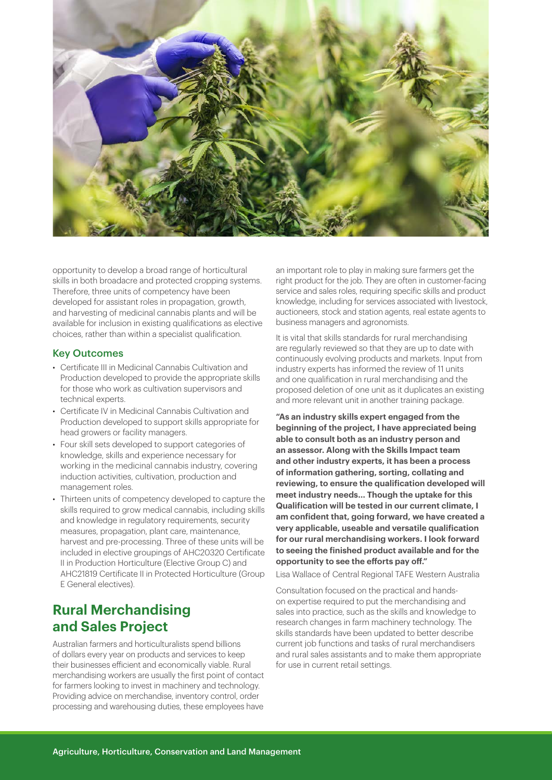![](_page_8_Picture_0.jpeg)

opportunity to develop a broad range of horticultural skills in both broadacre and protected cropping systems. Therefore, three units of competency have been developed for assistant roles in propagation, growth, and harvesting of medicinal cannabis plants and will be available for inclusion in existing qualifications as elective choices, rather than within a specialist qualification.

#### Key Outcomes

- Certificate III in Medicinal Cannabis Cultivation and Production developed to provide the appropriate skills for those who work as cultivation supervisors and technical experts.
- Certificate IV in Medicinal Cannabis Cultivation and Production developed to support skills appropriate for head growers or facility managers.
- Four skill sets developed to support categories of knowledge, skills and experience necessary for working in the medicinal cannabis industry, covering induction activities, cultivation, production and management roles.
- Thirteen units of competency developed to capture the skills required to grow medical cannabis, including skills and knowledge in regulatory requirements, security measures, propagation, plant care, maintenance, harvest and pre-processing. Three of these units will be included in elective groupings of AHC20320 Certificate II in Production Horticulture (Elective Group C) and AHC21819 Certificate II in Protected Horticulture (Group E General electives).

## **Rural Merchandising and Sales Project**

Australian farmers and horticulturalists spend billions of dollars every year on products and services to keep their businesses efficient and economically viable. Rural merchandising workers are usually the first point of contact for farmers looking to invest in machinery and technology. Providing advice on merchandise, inventory control, order processing and warehousing duties, these employees have

an important role to play in making sure farmers get the right product for the job. They are often in customer-facing service and sales roles, requiring specific skills and product knowledge, including for services associated with livestock, auctioneers, stock and station agents, real estate agents to business managers and agronomists.

It is vital that skills standards for rural merchandising are regularly reviewed so that they are up to date with continuously evolving products and markets. Input from industry experts has informed the review of 11 units and one qualification in rural merchandising and the proposed deletion of one unit as it duplicates an existing and more relevant unit in another training package.

**"As an industry skills expert engaged from the beginning of the project, I have appreciated being able to consult both as an industry person and an assessor. Along with the Skills Impact team and other industry experts, it has been a process of information gathering, sorting, collating and reviewing, to ensure the qualification developed will meet industry needs… Though the uptake for this Qualification will be tested in our current climate, I am confident that, going forward, we have created a very applicable, useable and versatile qualification for our rural merchandising workers. I look forward to seeing the finished product available and for the opportunity to see the efforts pay off."** 

Lisa Wallace of Central Regional TAFE Western Australia

Consultation focused on the practical and handson expertise required to put the merchandising and sales into practice, such as the skills and knowledge to research changes in farm machinery technology. The skills standards have been updated to better describe current job functions and tasks of rural merchandisers and rural sales assistants and to make them appropriate for use in current retail settings.